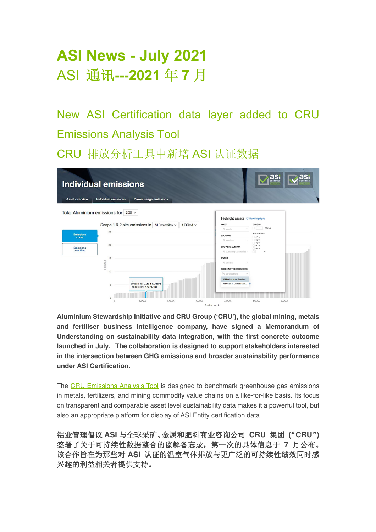# **ASI News - July 2021** ASI 通讯**---2021** 年 **7** 月

New ASI Certification data layer added to CRU Emissions Analysis Tool

CRU 排放分析工具中新增 ASI 认证数据

| <b>Individual emissions</b><br><b>Individual emissions</b><br><b>Asset overview</b><br>Power usage emissions | as<br>asi                                      |
|--------------------------------------------------------------------------------------------------------------|------------------------------------------------|
| Total Aluminium emissions for $2021 \vee$                                                                    | Highlight assets C Reset highlights            |
| Scope 1 & 2 site emissions in All Percentiles $\vee$<br>t CO2e/t $\vee$                                      | <b>ASSET</b><br><b>EMISSION</b>                |
| 25                                                                                                           | t CO2e/t<br>All assets<br>$\mathcal{L}$        |
| <b>Emissions</b><br>curve                                                                                    | <b>PERCENTILES</b><br><b>LOCATIONS</b><br>25 % |
|                                                                                                              | 50 %<br>All locations<br>$\checkmark$<br>75 %  |
| 20<br><b>Emissions</b>                                                                                       | 90 %<br>OPERATING COMPANY<br>95 %              |
| over time                                                                                                    | All operating companiesv<br>$-96$              |
| 15                                                                                                           | OWNER                                          |
| CO <sub>2e</sub> /t                                                                                          | All owners<br>v                                |
| $\overline{\phantom{a}}$<br>10                                                                               | THIRD PARTY CERTIFICATIONS                     |
|                                                                                                              | All certifications                             |
|                                                                                                              | <b>ASI Performance Standard</b>                |
| Emissions: 2.23 t CO2e/t<br>Production: 473.07 kt                                                            | ASI Chain of Custody Stan                      |
|                                                                                                              |                                                |
| 20000<br>30000<br>10000                                                                                      | 40000<br>50000<br>60000<br>Production kt       |

**Aluminium Stewardship Initiative and CRU Group ('CRU'), the global mining, metals and fertiliser business intelligence company, have signed a Memorandum of Understanding on sustainability data integration, with the first concrete outcome launched in July. The collaboration is designed to support stakeholders interested in the intersection between GHG emissions and broader sustainability performance under ASI Certification.**

The CRU Emissions Analysis Tool is designed to benchmark greenhouse gas emissions in metals, fertilizers, and mining commodity value chains on a like-for-like basis. Its focus on transparent and comparable asset level sustainability data makes it a powerful tool, but also an appropriate platform for display of ASI Entity certification data.

铝业管理倡议 **ASI** 与全球采矿、金属和肥料商业咨询公司 **CRU** 集团 "**( CRU**"**)**  签署了关于可持续性数据整合的谅解备忘录,第一次的具体信息于 **7** 月公布。 该合作旨在为那些对 **ASI** 认证的温室气体排放与更广泛的可持续性绩效同时感 兴趣的利益相关者提供支持。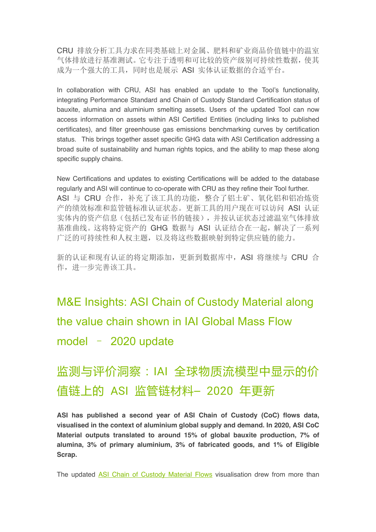CRU 排放分析工具力求在同类基础上对金属、肥料和矿业商品价值链中的温室 气体排放进行基准测试。它专注于透明和可比较的资产级别可持续性数据,使其 成为一个强大的工具,同时也是展示 ASI 实体认证数据的合适平台。

In collaboration with CRU, ASI has enabled an update to the Tool's functionality, integrating Performance Standard and Chain of Custody Standard Certification status of bauxite, alumina and aluminium smelting assets. Users of the updated Tool can now access information on assets within ASI Certified Entities (including links to published certificates), and filter greenhouse gas emissions benchmarking curves by certification status. This brings together asset specific GHG data with ASI Certification addressing a broad suite of sustainability and human rights topics, and the ability to map these along specific supply chains.

New Certifications and updates to existing Certifications will be added to the database regularly and ASI will continue to co-operate with CRU as they refine their Tool further. ASI 与 CRU 合作,补充了该工具的功能,整合了铝土矿、氧化铝和铝冶炼资 产的绩效标准和监管链标准认证状态。更新工具的用户现在可以访问 ASI 认证 实体内的资产信息(包括已发布证书的链接),并按认证状态过滤温室气体排放 基准曲线。这将特定资产的 GHG 数据与 ASI 认证结合在一起,解决了一系列 广泛的可持续性和人权主题,以及将这些数据映射到特定供应链的能力。

新的认证和现有认证的将定期添加,更新到数据库中,ASI 将继续与 CRU 合 作,进一步完善该工具。

M&E Insights: ASI Chain of Custody Material along the value chain shown in IAI Global Mass Flow

model – 2020 update

# 监测与评价洞察:IAI 全球物质流模型中显示的价 值链上的 ASI 监管链材料– 2020 年更新

**ASI has published a second year of ASI Chain of Custody (CoC) flows data, visualised in the context of aluminium global supply and demand. In 2020, ASI CoC Material outputs translated to around 15% of global bauxite production, 7% of alumina, 3% of primary aluminium, 3% of fabricated goods, and 1% of Eligible Scrap.** 

The updated ASI Chain of Custody Material Flows visualisation drew from more than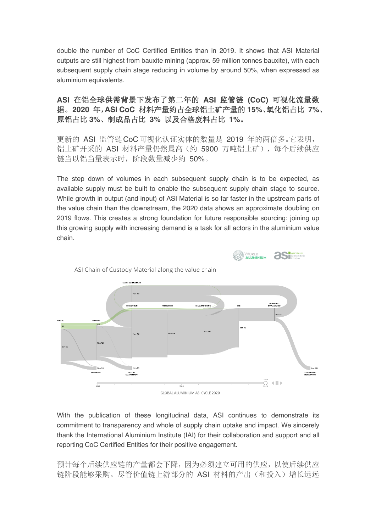double the number of CoC Certified Entities than in 2019. It shows that ASI Material outputs are still highest from bauxite mining (approx. 59 million tonnes bauxite), with each subsequent supply chain stage reducing in volume by around 50%, when expressed as aluminium equivalents.

#### **ASI** 在铝全球供需背景下发布了第二年的 **ASI** 监管链 **(CoC)** 可视化流量数 据。**2020** 年,**ASI CoC** 材料产量约占全球铝土矿产量的 **15%**、氧化铝占比 **7%**、 原铝占比 **3%**、制成品占比 **3%** 以及合格废料占比 **1%**。

更新的 ASI 监管链CoC可视化认证实体的数量是 2019 年的两倍多。它表明, 铝土矿开采的 ASI 材料产量仍然最高(约 5900 万吨铝土矿), 每个后续供应 链当以铝当量表示时,阶段数量减少约 50%。

The step down of volumes in each subsequent supply chain is to be expected, as available supply must be built to enable the subsequent supply chain stage to source. While growth in output (and input) of ASI Material is so far faster in the upstream parts of the value chain than the downstream, the 2020 data shows an approximate doubling on 2019 flows. This creates a strong foundation for future responsible sourcing: joining up this growing supply with increasing demand is a task for all actors in the aluminium value chain.



With the publication of these longitudinal data, ASI continues to demonstrate its commitment to transparency and whole of supply chain uptake and impact. We sincerely thank the International Aluminium Institute (IAI) for their collaboration and support and all reporting CoC Certified Entities for their positive engagement.

预计每个后续供应链的产量都会下降,因为必须建立可用的供应,以使后续供应 链阶段能够采购。尽管价值链上游部分的 ASI 材料的产出(和投入)增长远远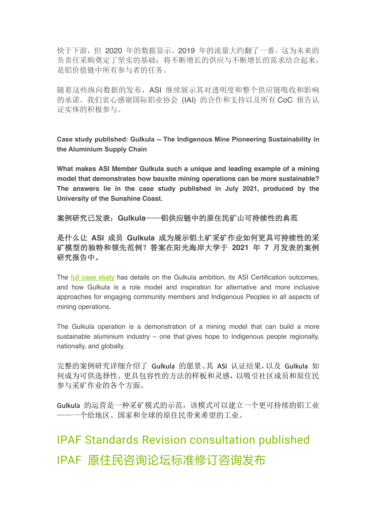快于下游,但 2020 年的数据显示,2019 年的流量大约翻了一番。这为未来的 负责任采购奠定了坚实的基础:将不断增长的供应与不断增长的需求结合起来, 是铝价值链中所有参与者的任务。

随着这些纵向数据的发布,ASI 继续展示其对透明度和整个供应链吸收和影响 的承诺。我们衷心感谢国际铝业协会 (IAI) 的合作和支持以及所有 CoC 报告认 证实体的积极参与。

**Case study published: Gulkula -- The Indigenous Mine Pioneering Sustainability in the Aluminium Supply Chain**

**What makes ASI Member Gulkula such a unique and leading example of a mining model that demonstrates how bauxite mining operations can be more sustainable? The answers lie in the case study published in July 2021, produced by the University of the Sunshine Coast.**

案例研究已发表:**Gulkula**——铝供应链中的原住民矿山可持续性的典范

是什么让 **ASI** 成员 **Gulkula** 成为展示铝土矿采矿作业如何更具可持续性的采 矿模型的独特和领先范例?答案在阳光海岸大学于 **2021** 年 **7** 月发表的案例 研究报告中。

The full case study has details on the Gulkula ambition, its ASI Certification outcomes, and how Gulkula is a role model and inspiration for alternative and more inclusive approaches for engaging community members and Indigenous Peoples in all aspects of mining operations.

The Gulkula operation is a demonstration of a mining model that can build a more sustainable aluminium industry – one that gives hope to Indigenous people regionally, nationally, and globally.

完整的案例研究详细介绍了 Gulkula 的愿景、其 ASI 认证结果,以及 Gulkula 如 何成为可供选择性、更具包容性的方法的样板和灵感,以吸引社区成员和原住民 参与采矿作业的各个方面。

Gulkula 的运营是一种采矿模式的示范,该模式可以建立一个更可持续的铝工业 ——一个给地区、国家和全球的原住民带来希望的工业。

# IPAF Standards Revision consultation published IPAF 原住民咨询论坛标准修订咨询发布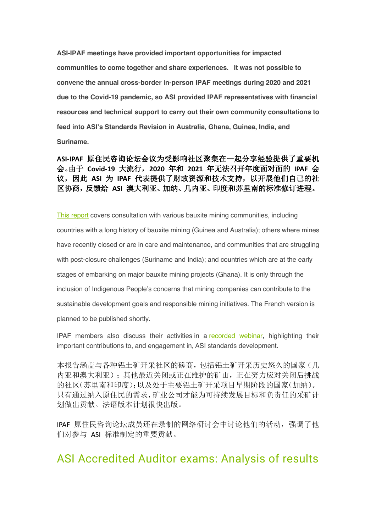**ASI-IPAF meetings have provided important opportunities for impacted communities to come together and share experiences. It was not possible to convene the annual cross-border in-person IPAF meetings during 2020 and 2021 due to the Covid-19 pandemic, so ASI provided IPAF representatives with financial resources and technical support to carry out their own community consultations to feed into ASI's Standards Revision in Australia, Ghana, Guinea, India, and Suriname.**

#### **ASI-IPAF** 原住民咨询论坛会议为受影响社区聚集在一起分享经验提供了重要机 会。由于 **Covid-19** 大流行,**2020** 年和 **2021** 年无法召开年度面对面的 **IPAF** 会 议,因此 **ASI** 为 **IPAF** 代表提供了财政资源和技术支持,以开展他们自己的社 区协商,反馈给 **ASI** 澳大利亚、加纳、几内亚、印度和苏里南的标准修订进程。

This report covers consultation with various bauxite mining communities, including countries with a long history of bauxite mining (Guinea and Australia); others where mines have recently closed or are in care and maintenance, and communities that are struggling with post-closure challenges (Suriname and India); and countries which are at the early stages of embarking on major bauxite mining projects (Ghana). It is only through the inclusion of Indigenous People's concerns that mining companies can contribute to the sustainable development goals and responsible mining initiatives. The French version is planned to be published shortly.

IPAF members also discuss their activities in a recorded webinar, highlighting their important contributions to, and engagement in, ASI standards development.

本报告涵盖与各种铝土矿开采社区的磋商,包括铝土矿开采历史悠久的国家(几 内亚和澳大利亚);其他最近关闭或正在维护的矿山,正在努力应对关闭后挑战 的社区(苏里南和印度);以及处于主要铝土矿开采项目早期阶段的国家(加纳)。 只有通过纳入原住民的需求,矿业公司才能为可持续发展目标和负责任的采矿计 划做出贡献。法语版本计划很快出版。

IPAF 原住民咨询论坛成员还在录制的网络研讨会中讨论他们的活动, 强调了他 们对参与 ASI 标准制定的重要贡献。

### ASI Accredited Auditor exams: Analysis of results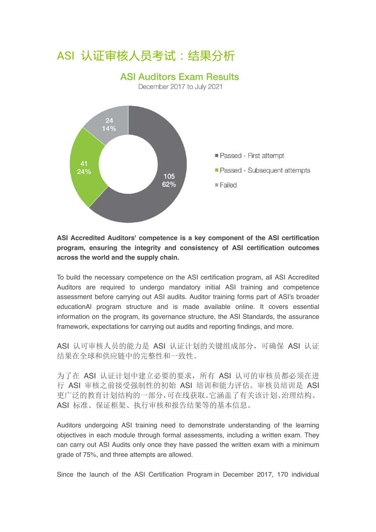## ASI 认证审核人员考试:结果分析

#### **ASI Auditors Exam Results**

December 2017 to July 2021



#### **ASI Accredited Auditors' competence is a key component of the ASI certification program, ensuring the integrity and consistency of ASI certification outcomes across the world and the supply chain.**

To build the necessary competence on the ASI certification program, all ASI Accredited Auditors are required to undergo mandatory initial ASI training and competence assessment before carrying out ASI audits. Auditor training forms part of ASI's broader educationAl program structure and is made available online. It covers essential information on the program, its governance structure, the ASI Standards, the assurance framework, expectations for carrying out audits and reporting findings, and more.

ASI 认可审核人员的能力是 ASI 认证计划的关键组成部分,可确保 ASI 认证 结果在全球和供应链中的完整性和一致性。

为了在 ASI 认证计划中建立必要的要求, 所有 ASI 认可的审核员都必须在进 行 ASI 审核之前接受强制性的初始 ASI 培训和能力评估。审核员培训是 ASI 更广泛的教育计划结构的一部分,可在线获取。它涵盖了有关该计划、治理结构、 ASI 标准、保证框架、执行审核和报告结果等的基本信息。

Auditors undergoing ASI training need to demonstrate understanding of the learning objectives in each module through formal assessments, including a written exam. They can carry out ASI Audits only once they have passed the written exam with a minimum grade of 75%, and three attempts are allowed.

Since the launch of the ASI Certification Program in December 2017, 170 individual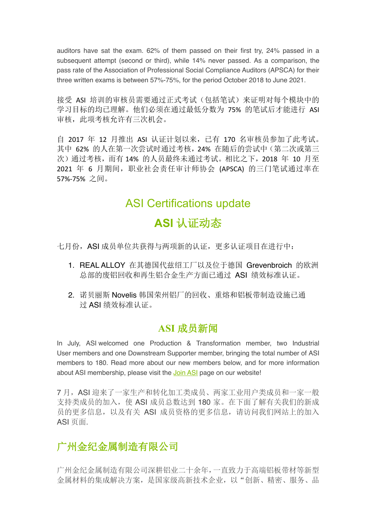auditors have sat the exam. 62% of them passed on their first try, 24% passed in a subsequent attempt (second or third), while 14% never passed. As a comparison, the pass rate of the Association of Professional Social Compliance Auditors (APSCA) for their three written exams is between 57%-75%, for the period October 2018 to June 2021.

接受 ASI 培训的审核员需要通过正式考试(包括笔试)来证明对每个模块中的 学习目标的均已理解。他们必须在通过最低分数为 75% 的笔试后才能进行 ASI 审核, 此项考核允许有三次机会。

自 2017 年 12 月推出 ASI 认证计划以来,已有 170 名审核员参加了此考试。 其中 62% 的人在第一次尝试时通过考核,24% 在随后的尝试中(第二次或第三 次)通过考核,而有14%的人员最终未通过考试。相比之下,2018年 10 月至 2021 年 6 月期间, 职业社会责任审计师协会 (APSCA) 的三门笔试通过率在 57%-75% 之间。

## ASI Certifications update **ASI** 认证动态

七月份, ASI 成员单位共获得与两项新的认证,更多认证项目在进行中:

- 1. REAL ALLOY 在其德国代兹绍工厂以及位于德国 Grevenbroich 的欧洲 总部的废铝回收和再生铝合金生产方面已通过 ASI 绩效标准认证。
- 2. 诺贝丽斯 Novelis 韩国荣州铝厂的回收、重熔和铝板带制造设施已通 过 ASI 绩效标准认证。

### **ASI** 成员新闻

In July, ASI welcomed one Production & Transformation member, two Industrial User members and one Downstream Supporter member, bringing the total number of ASI members to 180. Read more about our new members below, and for more information about ASI membership, please visit the Join ASI page on our website!

7 月,ASI 迎来了一家生产和转化加工类成员、两家工业用户类成员和一家一般 支持类成员的加入,使 ASI 成员总数达到 180 家。在下面了解有关我们的新成 员的更多信息,以及有关 ASI 成员资格的更多信息,请访问我们网站上的加入 ASI 页面.

### 广州金纪金属制造有限公司

广州金纪金属制造有限公司深耕铝业二十余年,一直致力于高端铝板带材等新型 金属材料的集成解决方案,是国家级高新技术企业,以"创新、精密、服务、品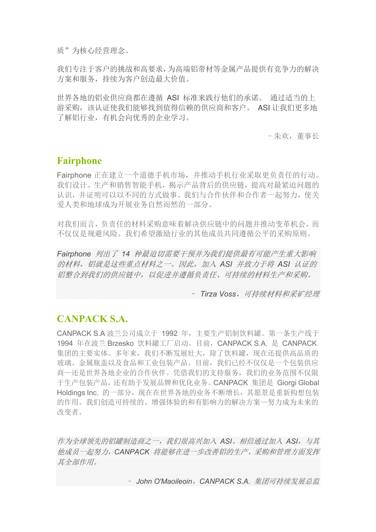质"为核心经营理念。

我们专注于客户的挑战和高要求,为高端铝带材等金属产品提供有竞争力的解决 方案和服务,持续为客户创造最大价值。

世界各地的铝业供应商都在遵循 ASI 标准来践行他们的承诺。 通过适当的上 游采购,该认证使我们能够找到值得信赖的供应商和客户。 ASI 让我们更多地 了解铝行业,有机会向优秀的企业学习。

–朱欢,董事长

#### **Fairphone**

Fairphone 正在建立一个道德手机市场,并推动手机行业采取更负责任的行动。 我们设计、生产和销售智能手机,揭示产品背后的供应链,提高对最紧迫问题的 认识,并证明可以以不同的方式做事。我们与合作伙伴和合作者一起努力,使关 爱人类和地球成为开展业务自然而然的一部分。

对我们而言,负责任的材料采购意味着解决供应链中的问题并推动变革机会,而 不仅仅是规避风险。我们希望激励行业的其他成员共同遵循公平的采购原则。

*Fairphone* 列出了 *14* 种最迫切需要干预并为我们提供最有可能产生重大影响 的材料,铝就是这些重点材料之一。因此,加入 *ASI* 并致力于将 *ASI* 认证的 铝整合到我们的供应链中,以促进并遵循负责任、可持续的材料生产和采购。

– *Tirza Voss*,可持续材料和采矿经理

#### **CANPACK S.A.**

CANPACK S.A 波兰公司成立于 1992 年,主要生产铝制饮料罐。第一条生产线于 1994 年在波兰 Brzesko 饮料罐工厂启动。目前,CANPACK S.A. 是 CANPACK 集团的主要实体。多年来,我们不断发展壮大,除了饮料罐,现在还提供高品质的 玻璃、金属瓶盖以及食品和工业包装产品。目前,我们已经不仅仅是一个包装供应 商—还是世界各地企业的合作伙伴。凭借我们的支持服务,我们的业务范围不仅限 于生产包装产品,还有助于发展品牌和优化业务。CANPACK 集团是 Giorgi Global Holdings Inc. 的一部分, 现在在世界各地的业务不断增长, 其愿景是重新构想包装 的作用。我们创造可持续的、增强体验的和有影响力的解决方案—努力成为未来的 改变者。

作为全球领先的铝罐制造商之一,我们很高兴加入 *ASI*。相信通过加入 *ASI*,与其 他成员一起努力,*CANPACK* 将能够在进一步改善铝的生产、采购和管理方面发挥 其全部作用。

– *John O'Maoileoin*,*CANPACK S.A.* 集团可持续发展总监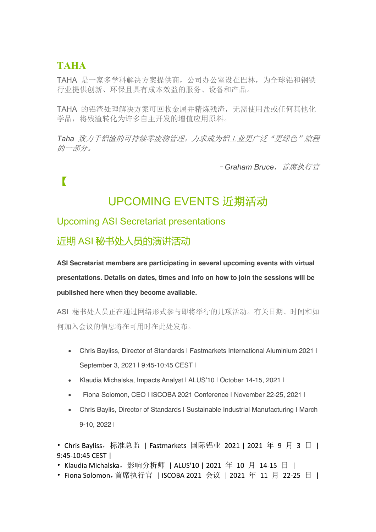### **TAHA**

TAHA 是一家多学科解决方案提供商,公司办公室设在巴林,为全球铝和钢铁 行业提供创新、环保且具有成本效益的服务、设备和产品。

TAHA 的铝渣处理解决方案可回收金属并精炼残渣, 无需使用盐或任何其他化 学品,将残渣转化为许多自主开发的增值应用原料。

Taha 致力于铝渣的可持续零废物管理,力求成为铝工业更广泛"更绿色"旅程 的一部分。

–*Graham Bruce*,首席执行官

【

## UPCOMING EVENTS 近期活动

#### Upcoming ASI Secretariat presentations

### 近期 ASI 秘书处人员的演讲活动

**ASI Secretariat members are participating in several upcoming events with virtual presentations. Details on dates, times and info on how to join the sessions will be published here when they become available.**

ASI 秘书处人员正在通过网络形式参与即将举行的几项活动。有关日期、时间和如 何加入会议的信息将在可用时在此处发布。

- Chris Bayliss, Director of Standards | Fastmarkets International Aluminium 2021 | September 3, 2021 | 9:45-10:45 CEST |
- Klaudia Michalska, Impacts Analyst | ALUS'10 | October 14-15, 2021 |
- Fiona Solomon, CEO | ISCOBA 2021 Conference | November 22-25, 2021 |
- Chris Baylis, Director of Standards | Sustainable Industrial Manufacturing | March 9-10, 2022 |

• Chris Bayliss, 标准总监 | Fastmarkets 国际铝业 2021 | 2021 年 9 月 3 日 | 9:45-10:45 CEST |

- Klaudia Michalska,影响分析师 | ALUS'10 | 2021 年 10 月 14-15 日 |
- Fiona Solomon, 首席执行官 | ISCOBA 2021 会议 | 2021 年 11 月 22-25 日 |